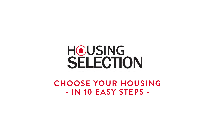## **HOUSING** SELECTION

**CHOOSE YOUR HOUSING - IN 10 EASY STEPS -**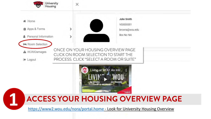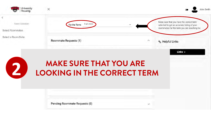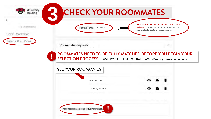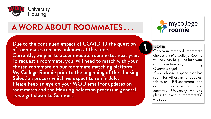

## **A WORD ABOUT ROOMMATES . . .**

Due to the continued impact of COVID-19 the question of roommates remains unknown at this time. Currently, we plan to accommodate roommates next year. To request a roommate, you will need to match with your chosen roommate on our roommate matching platform - My College Roomie prior to the beginning of the Housing Selection process which we expect to run in July. Please keep an eye on your WOU email for updates on roommates and the Housing Selection process in general as we get closer to Summer.



#### NOTE:

Only your matched roommate choices via My College Roomie will be / can be pulled into your room selection on your Housing Overview page!

If you choose a space that has room for others in it (doubles, triples or 4 BR apartment) and do not choose a roommate, currently, University Housing plans to place a roommate(s) with you.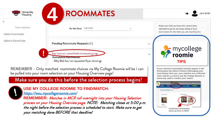| University<br>Housing                     | <b>ROOMMATES</b>                                                                                            | Jane Smith<br>σ                                                                                                                         |
|-------------------------------------------|-------------------------------------------------------------------------------------------------------------|-----------------------------------------------------------------------------------------------------------------------------------------|
| Room Selection<br><b>Select Roommates</b> | <b>Fall 2022</b><br>For the Term:                                                                           | Make sure that you have the correct term<br>selected to get an accurate listing of your<br>roommates for the term you are seaching for. |
| Select a Room/Suite                       | Pending Roommate Requests (1)                                                                               | $\sim$                                                                                                                                  |
|                                           | You have an unmatched roommate group<br>Unmatched Roommates:<br>· Billy Bob has not requested Ryan Jennings | mycollege<br><b>roomie</b><br>$\vee$<br><b>TIPS</b>                                                                                     |

REMEMBER – Only matched roommate choices via My College Roomie will be / can be pulled into your room selection on your Housing Overview page!

### Make sure you do this before the selection process begins!



### **USE MY COLLEGE ROOMIE TO FIND/MATCH:**

<https://wou.mycollegeroomie.com/>

**REMEMBER:** Matches in MCR roll overnight into your Housing Selection process on your Housing Overview page. NOTE: Matching closes at 5:00 p.m. the night before the selection process is scheduled to start. Make sure to get your matching done BEFORE that deadline!

desired roommate(s) name(s) **Roommates tab within Friends & Messaging** *(see inset below)***, then yes, your matches are confirmed. There will be no need to ask My College Roomie or University staff to confirm your match.** 

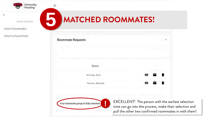

×

Room Selection

Select Roommates

Select a Room/Suite

## **5 MATCHED ROOMMATES! !**

| Name               |   |  |
|--------------------|---|--|
| Jennings, Ryan     |   |  |
| Thorton, Billy Bob | ◉ |  |
|                    |   |  |

rliest selection time can go into the process, make their selection and pull the other two confirmed roommates in with them!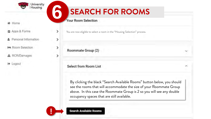

- **脅 Home**
- **自 Apps & Forms**
- Personal Information
- **Para Room Selection**
- **A** RCR/Damages
- □ Logout

## **6 SEARCH FOR ROOMS**<br>Your Room Selection

You are now eligible to select a room in the "Housing Selection" process.

Roommate Group (2)

**Select from Room List** 

By clicking the black "Search Available Rooms" button below, you should see the rooms that will accommodate the size of your Roommate Group above. In this case the Roommate Group is 2 so you will see any double occupancy spaces that are still available.



>

I,

×

×

**Search Available Rooms** 

 $\lambda$ 

v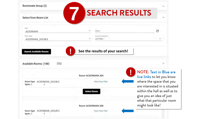| Roommate Group (2)                                       | <b>SEARCH RESULTS</b>                   |                                                                                                            |
|----------------------------------------------------------|-----------------------------------------|------------------------------------------------------------------------------------------------------------|
| Select from Room List                                    |                                         |                                                                                                            |
| Hall<br><b>ACKERMAN</b>                                  | Floor                                   | С                                                                                                          |
| floorn Type<br>ACKERMAN_DOUBLE                           | <b>Room! Continuents</b><br>(no filter) |                                                                                                            |
|                                                          |                                         |                                                                                                            |
| <b>Search Available Rooms</b>                            | See the results of your search!         |                                                                                                            |
| Available Rooms: (188)<br>(15)                           |                                         |                                                                                                            |
|                                                          | <b>Room ACKERMAN 204</b>                | <b>NOTE: Text in Blue are</b><br>live links to let you know                                                |
| Room Type: ACKERMAN_DOUBLE<br>Spots: 3<br>$\overline{2}$ | View Floor Plan                         | where the space that you<br>are interested in is situated                                                  |
|                                                          | <b>Select Room</b>                      | within the hall as well as to<br>give you an idea of just<br>what that particular room<br>might look like! |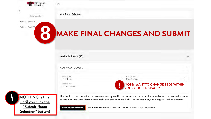| University<br>Housing  | $\times$                      |  |
|------------------------|-------------------------------|--|
| Room Selection         | Your Room Selection           |  |
| Select Roommates       |                               |  |
| Select a Room/Sy<br>18 | MAKE FINAL CHANGES AND SUBMIT |  |
|                        | Available Rooms: (15)         |  |
|                        | ACKERMAN DOUBLE               |  |

| Room 204 Bed S<br>< Leave Empty > | NOTE: WANT TO CHANGE BEDS WITHIN<br>YOUR CHOSEN SPACE? |  |
|-----------------------------------|--------------------------------------------------------|--|
| Room 204 Bed 1<br>John Smith      | Room 204 Bed S<br>Ryan Jennings                        |  |
|                                   |                                                        |  |

ż,



Use the drop down menu for the person currently placed in the bedroom you want to change and select the person that wants to take over that space. Remember to make sure that no one is duplicated and that everyone is happy with their placement.

**Submit Room Selection** Please make sure that this is correct (You will not be able to change this yourself)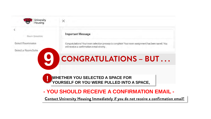

### **- YOU SHOULD RECEIVE A CONFIRMATION EMAIL -**

**Contact University Housing Immediately if you do not receive a confirmation email!**